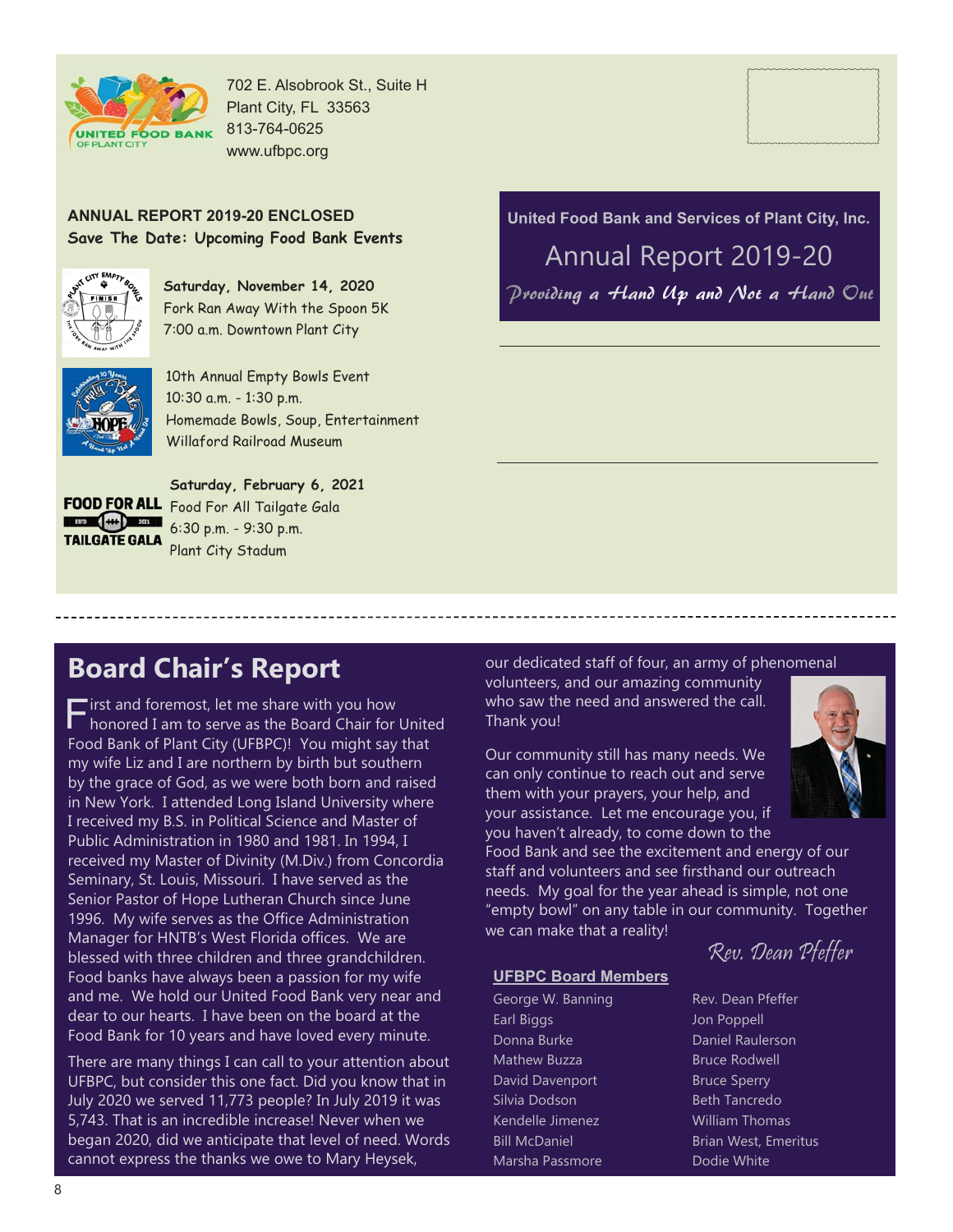

702 E. Alsobrook St., Suite H

#### **ANNUAL REPORT 2019-20 ENCLOSED Save The Date: Upcoming Food Bank Events**



**Saturday, November 14, 2020** Fork Ran Away With the Spoon 5K 7:00 a.m. Downtown Plant City



10th Annual Empty Bowls Event 10:30 a.m. - 1:30 p.m. Homemade Bowls, Soup, Entertainment Willaford Railroad Museum

E BID 444 201 **TAILGATE GALA** 

**Saturday, February 6, 2021** FOOD FOR ALL Food For All Tailgate Gala 6:30 p.m. - 9:30 p.m. Plant City Stadum

### **United Food Bank and Services of Plant City, Inc.** Annual Report 2019-20 Providing a Hand Up and Not a Hand Out

### **Board Chair's Report**

"irst and foremost, let me share with you how honored I am to serve as the Board Chair for United Food Bank of Plant City (UFBPC)! You might say that my wife Liz and I are northern by birth but southern by the grace of God, as we were both born and raised in New York. I attended Long Island University where I received my B.S. in Political Science and Master of Public Administration in 1980 and 1981. In 1994, I received my Master of Divinity (M.Div.) from Concordia Seminary, St. Louis, Missouri. I have served as the Senior Pastor of Hope Lutheran Church since June 1996. My wife serves as the Office Administration Manager for HNTB's West Florida offices. We are blessed with three children and three grandchildren. Food banks have always been a passion for my wife and me. We hold our United Food Bank very near and dear to our hearts. I have been on the board at the Food Bank for 10 years and have loved every minute.

There are many things I can call to your attention about UFBPC, but consider this one fact. Did you know that in July 2020 we served 11,773 people? In July 2019 it was 5,743. That is an incredible increase! Never when we began 2020, did we anticipate that level of need. Words cannot express the thanks we owe to Mary Heysek,

our dedicated staff of four, an army of phenomenal

volunteers, and our amazing community who saw the need and answered the call. Thank you!

Our community still has many needs. We can only continue to reach out and serve them with your prayers, your help, and your assistance. Let me encourage you, if you haven't already, to come down to the

Food Bank and see the excitement and energy of our staff and volunteers and see firsthand our outreach needs. My goal for the year ahead is simple, not one "empty bowl" on any table in our community. Together we can make that a reality!

#### **UFBPC Board Members**

George W. Banning Earl Biggs Donna Burke Mathew Buzza David Davenport Silvia Dodson Kendelle Jimenez Bill McDaniel Marsha Passmore

Rev. Dean Pfeffer

Rev. Dean Pfeffer Jon Poppell Daniel Raulerson Bruce Rodwell Bruce Sperry Beth Tancredo William Thomas Brian West, Emeritus Dodie White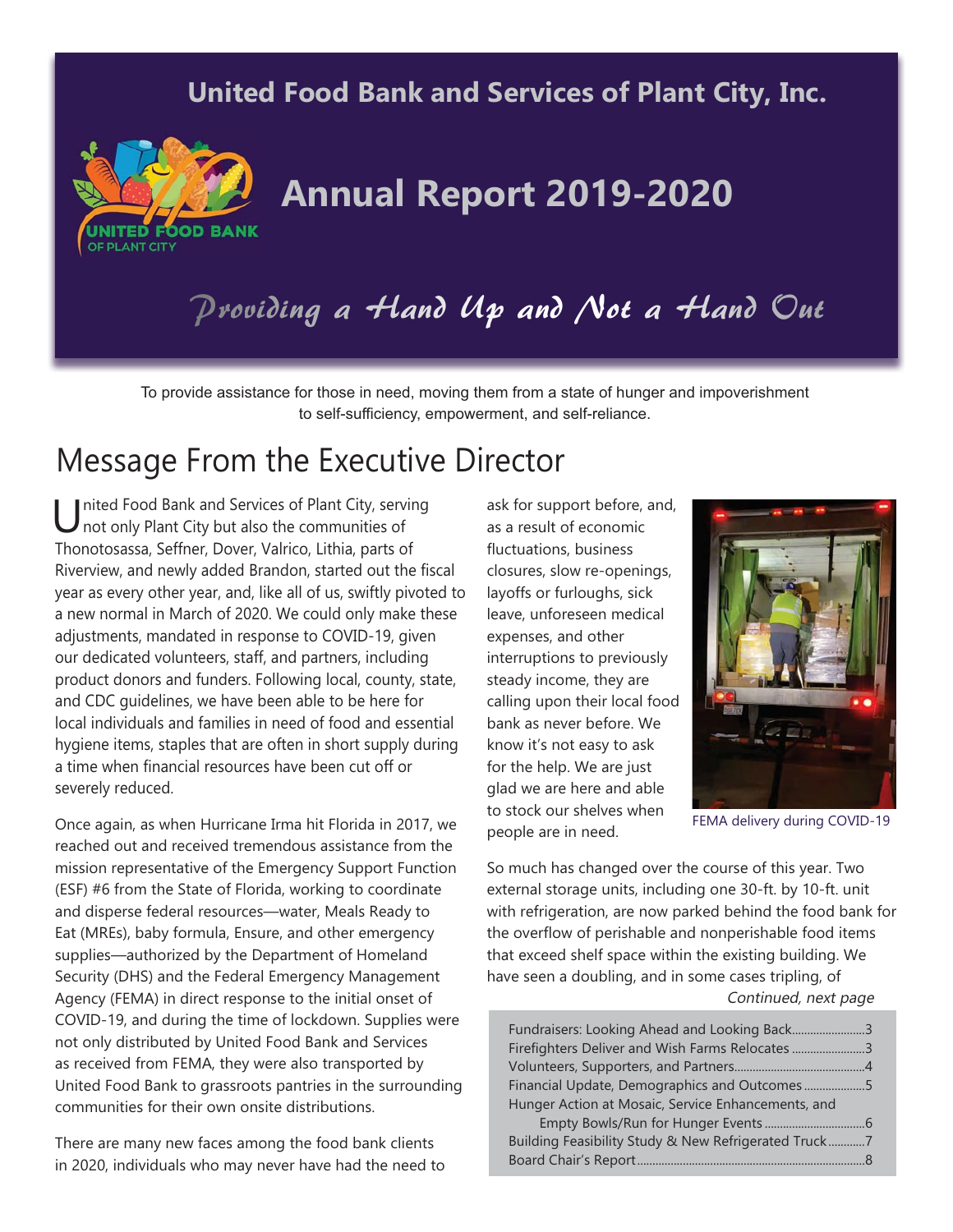### **United Food Bank and Services of Plant City, Inc.**



# **Annual Report 2019-2020**

# Providing a Hand Up and Not a Hand Out

To provide assistance for those in need, moving them from a state of hunger and impoverishment to self-sufficiency, empowerment, and self-reliance.

### Message From the Executive Director

Inited Food Bank and Services of Plant City, serving not only Plant City but also the communities of Thonotosassa, Seffner, Dover, Valrico, Lithia, parts of Riverview, and newly added Brandon, started out the fiscal year as every other year, and, like all of us, swiftly pivoted to a new normal in March of 2020. We could only make these adjustments, mandated in response to COVID-19, given our dedicated volunteers, staff, and partners, including product donors and funders. Following local, county, state, and CDC guidelines, we have been able to be here for local individuals and families in need of food and essential hygiene items, staples that are often in short supply during a time when financial resources have been cut off or severely reduced.

Once again, as when Hurricane Irma hit Florida in 2017, we reached out and received tremendous assistance from the mission representative of the Emergency Support Function (ESF) #6 from the State of Florida, working to coordinate and disperse federal resources—water, Meals Ready to Eat (MREs), baby formula, Ensure, and other emergency supplies—authorized by the Department of Homeland Security (DHS) and the Federal Emergency Management Agency (FEMA) in direct response to the initial onset of COVID-19, and during the time of lockdown. Supplies were not only distributed by United Food Bank and Services as received from FEMA, they were also transported by United Food Bank to grassroots pantries in the surrounding communities for their own onsite distributions.

There are many new faces among the food bank clients in 2020, individuals who may never have had the need to ask for support before, and, as a result of economic fluctuations, business closures, slow re-openings, layoffs or furloughs, sick leave, unforeseen medical expenses, and other interruptions to previously steady income, they are calling upon their local food bank as never before. We know it's not easy to ask for the help. We are just glad we are here and able to stock our shelves when people are in need.



FEMA delivery during COVID-19

So much has changed over the course of this year. Two external storage units, including one 30-ft. by 10-ft. unit with refrigeration, are now parked behind the food bank for the overflow of perishable and nonperishable food items that exceed shelf space within the existing building. We have seen a doubling, and in some cases tripling, of Continued, next page

| Fundraisers: Looking Ahead and Looking Back3         |  |
|------------------------------------------------------|--|
| Firefighters Deliver and Wish Farms Relocates 3      |  |
|                                                      |  |
| Financial Update, Demographics and Outcomes5         |  |
| Hunger Action at Mosaic, Service Enhancements, and   |  |
|                                                      |  |
| Building Feasibility Study & New Refrigerated Truck7 |  |
|                                                      |  |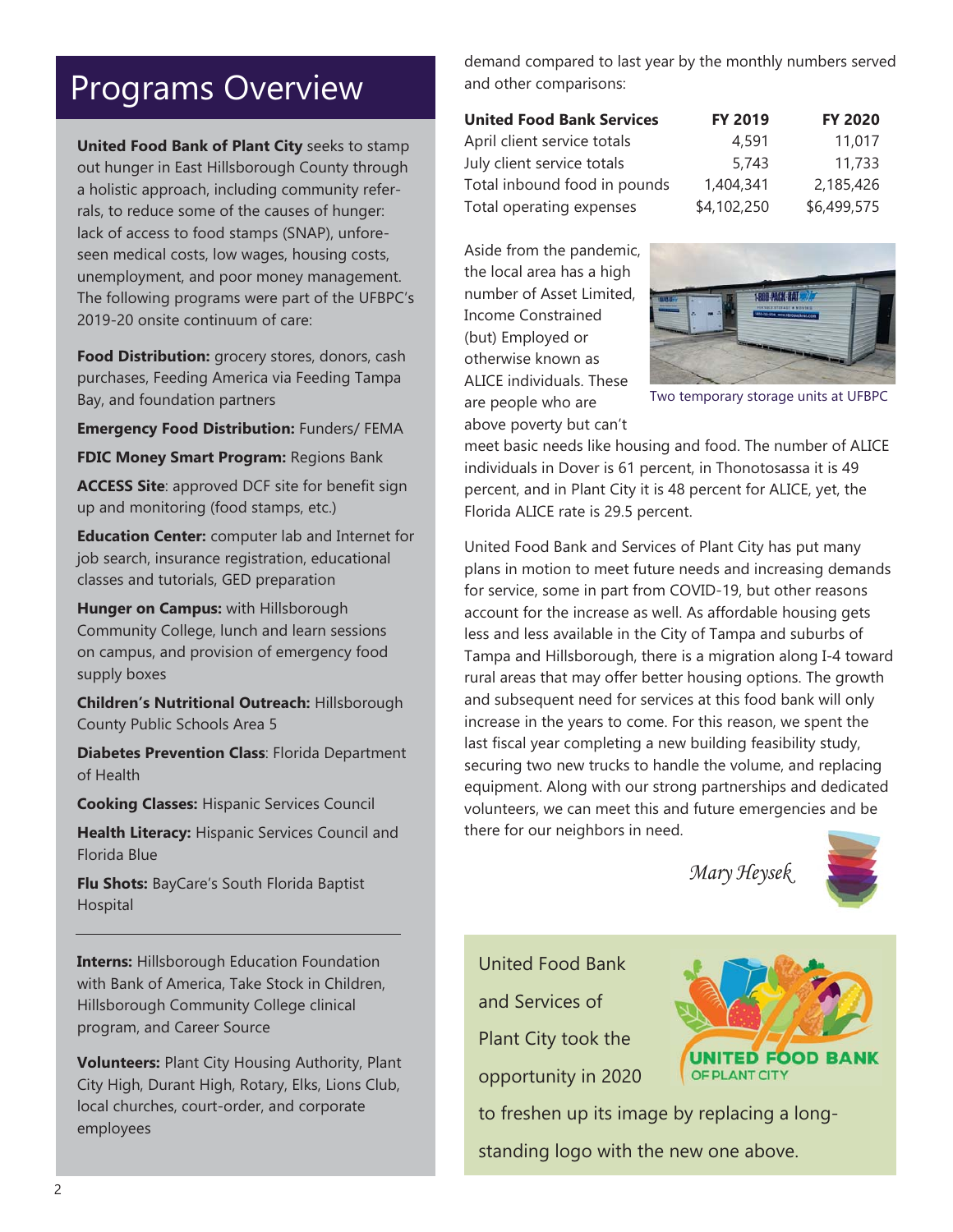### Programs Overview

**United Food Bank of Plant City** seeks to stamp out hunger in East Hillsborough County through a holistic approach, including community referrals, to reduce some of the causes of hunger: lack of access to food stamps (SNAP), unforeseen medical costs, low wages, housing costs, unemployment, and poor money management. The following programs were part of the UFBPC's 2019-20 onsite continuum of care:

**Food Distribution:** grocery stores, donors, cash purchases, Feeding America via Feeding Tampa Bay, and foundation partners

**Emergency Food Distribution:** Funders/ FEMA

**FDIC Money Smart Program:** Regions Bank

**ACCESS Site**: approved DCF site for benefit sign up and monitoring (food stamps, etc.)

**Education Center:** computer lab and Internet for job search, insurance registration, educational classes and tutorials, GED preparation

**Hunger on Campus:** with Hillsborough Community College, lunch and learn sessions on campus, and provision of emergency food supply boxes

**Children's Nutritional Outreach:** Hillsborough County Public Schools Area 5

**Diabetes Prevention Class**: Florida Department of Health

**Cooking Classes:** Hispanic Services Council

**Health Literacy:** Hispanic Services Council and Florida Blue

**Flu Shots:** BayCare's South Florida Baptist Hospital

**Interns: Hillsborough Education Foundation** with Bank of America, Take Stock in Children, Hillsborough Community College clinical program, and Career Source

**Volunteers:** Plant City Housing Authority, Plant City High, Durant High, Rotary, Elks, Lions Club, local churches, court-order, and corporate employees

demand compared to last year by the monthly numbers served and other comparisons:

| <b>United Food Bank Services</b> | <b>FY 2019</b> | <b>FY 2020</b> |
|----------------------------------|----------------|----------------|
| April client service totals      | 4,591          | 11,017         |
| July client service totals       | 5.743          | 11,733         |
| Total inbound food in pounds     | 1,404,341      | 2,185,426      |
| Total operating expenses         | \$4,102,250    | \$6,499,575    |

Aside from the pandemic, the local area has a high number of Asset Limited, Income Constrained (but) Employed or otherwise known as ALICE individuals. These are people who are

above poverty but can't



Two temporary storage units at UFBPC

meet basic needs like housing and food. The number of ALICE individuals in Dover is 61 percent, in Thonotosassa it is 49 percent, and in Plant City it is 48 percent for ALICE, yet, the Florida ALICE rate is 29.5 percent.

United Food Bank and Services of Plant City has put many plans in motion to meet future needs and increasing demands for service, some in part from COVID-19, but other reasons account for the increase as well. As affordable housing gets less and less available in the City of Tampa and suburbs of Tampa and Hillsborough, there is a migration along I-4 toward rural areas that may offer better housing options. The growth and subsequent need for services at this food bank will only increase in the years to come. For this reason, we spent the last fiscal year completing a new building feasibility study, securing two new trucks to handle the volume, and replacing equipment. Along with our strong partnerships and dedicated volunteers, we can meet this and future emergencies and be there for our neighbors in need.

Mary Heysek



United Food Bank and Services of Plant City took the opportunity in 2020



to freshen up its image by replacing a longstanding logo with the new one above.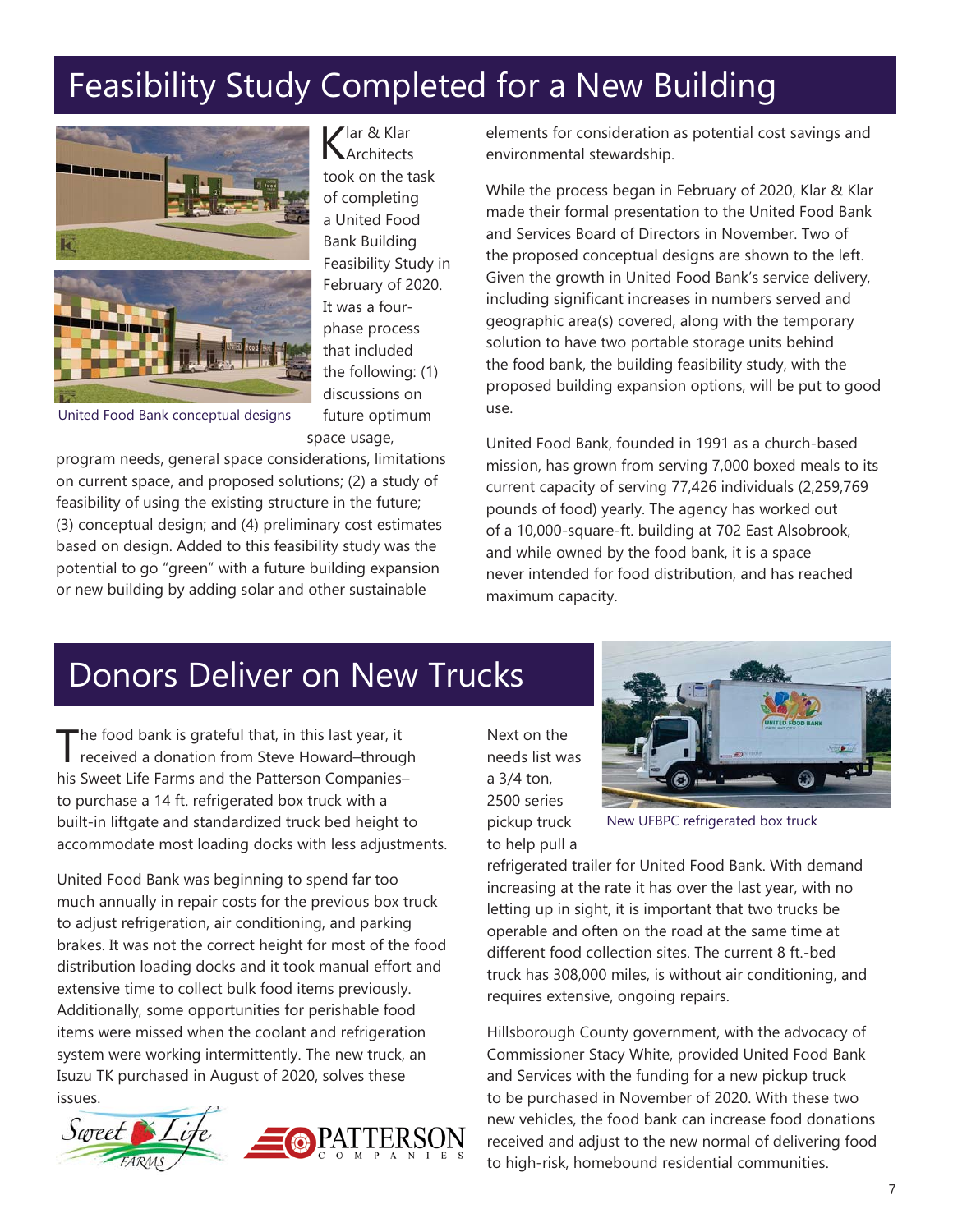# Feasibility Study Completed for a New Building



Klar & Klar **Architects** took on the task of completing a United Food Bank Building Feasibility Study in February of 2020. It was a fourphase process that included the following: (1) discussions on future optimum space usage,

United Food Bank conceptual designs

program needs, general space considerations, limitations on current space, and proposed solutions; (2) a study of feasibility of using the existing structure in the future; (3) conceptual design; and (4) preliminary cost estimates based on design. Added to this feasibility study was the potential to go "green" with a future building expansion or new building by adding solar and other sustainable

elements for consideration as potential cost savings and environmental stewardship.

While the process began in February of 2020, Klar & Klar made their formal presentation to the United Food Bank and Services Board of Directors in November. Two of the proposed conceptual designs are shown to the left. Given the growth in United Food Bank's service delivery, including significant increases in numbers served and geographic area(s) covered, along with the temporary solution to have two portable storage units behind the food bank, the building feasibility study, with the proposed building expansion options, will be put to good use.

United Food Bank, founded in 1991 as a church-based mission, has grown from serving 7,000 boxed meals to its current capacity of serving 77,426 individuals (2,259,769 pounds of food) yearly. The agency has worked out of a 10,000-square-ft. building at 702 East Alsobrook, and while owned by the food bank, it is a space never intended for food distribution, and has reached maximum capacity.

## Donors Deliver on New Trucks

The food bank is grateful that, in this last year, it<br>received a donation from Steve Howard–through his Sweet Life Farms and the Patterson Companies– to purchase a 14 ft. refrigerated box truck with a built-in liftgate and standardized truck bed height to accommodate most loading docks with less adjustments.

United Food Bank was beginning to spend far too much annually in repair costs for the previous box truck to adjust refrigeration, air conditioning, and parking brakes. It was not the correct height for most of the food distribution loading docks and it took manual effort and extensive time to collect bulk food items previously. Additionally, some opportunities for perishable food items were missed when the coolant and refrigeration system were working intermittently. The new truck, an Isuzu TK purchased in August of 2020, solves these issues.



Next on the needs list was a 3/4 ton, 2500 series pickup truck to help pull a



New UFBPC refrigerated box truck

refrigerated trailer for United Food Bank. With demand increasing at the rate it has over the last year, with no letting up in sight, it is important that two trucks be operable and often on the road at the same time at different food collection sites. The current 8 ft.-bed truck has 308,000 miles, is without air conditioning, and requires extensive, ongoing repairs.

Hillsborough County government, with the advocacy of Commissioner Stacy White, provided United Food Bank and Services with the funding for a new pickup truck to be purchased in November of 2020. With these two new vehicles, the food bank can increase food donations received and adjust to the new normal of delivering food to high-risk, homebound residential communities.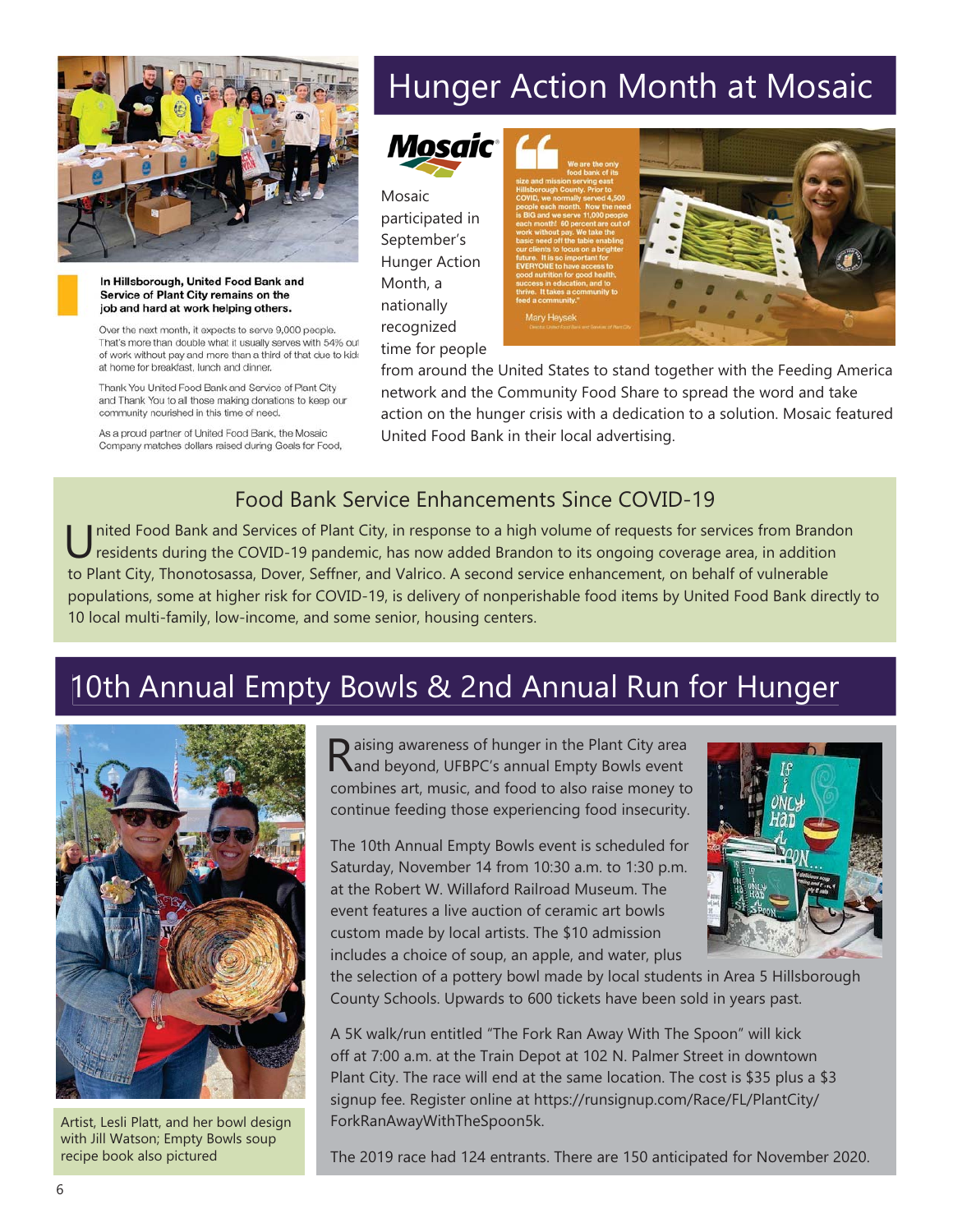

#### In Hillsborough, United Food Bank and Service of Plant City remains on the job and hard at work helping others.

Over the next month, it expects to serve 9,000 people. That's more than double what it usually serves with 54% out of work without pay and more than a third of that due to kids at home for breakfast, lunch and dinner.

Thank You United Food Bank and Service of Plant City and Thank You to all those making donations to keep our community nourished in this time of need.

As a proud partner of United Food Bank, the Mosaic Company matches dollars raised during Goals for Food,

# Hunger Action Month at Mosaic



Mosaic participated in September's Hunger Action Month, a nationally recognized time for people





from around the United States to stand together with the Feeding America network and the Community Food Share to spread the word and take action on the hunger crisis with a dedication to a solution. Mosaic featured United Food Bank in their local advertising.

### Food Bank Service Enhancements Since COVID-19

Inited Food Bank and Services of Plant City, in response to a high volume of requests for services from Brandon residents during the COVID-19 pandemic, has now added Brandon to its ongoing coverage area, in addition to Plant City, Thonotosassa, Dover, Seffner, and Valrico. A second service enhancement, on behalf of vulnerable populations, some at higher risk for COVID-19, is delivery of nonperishable food items by United Food Bank directly to 10 local multi-family, low-income, and some senior, housing centers.

## 10th Annual Empty Bowls & 2nd Annual Run for Hunger



Artist, Lesli Platt, and her bowl design with Jill Watson; Empty Bowls soup recipe book also pictured

Raising awareness of hunger in the Plant City area<br>
Rand beyond, UFBPC's annual Empty Bowls event combines art, music, and food to also raise money to continue feeding those experiencing food insecurity.

The 10th Annual Empty Bowls event is scheduled for Saturday, November 14 from 10:30 a.m. to 1:30 p.m. at the Robert W. Willaford Railroad Museum. The event features a live auction of ceramic art bowls custom made by local artists. The \$10 admission includes a choice of soup, an apple, and water, plus



the selection of a pottery bowl made by local students in Area 5 Hillsborough County Schools. Upwards to 600 tickets have been sold in years past.

A 5K walk/run entitled "The Fork Ran Away With The Spoon" will kick off at 7:00 a.m. at the Train Depot at 102 N. Palmer Street in downtown Plant City. The race will end at the same location. The cost is \$35 plus a \$3 signup fee. Register online at https://runsignup.com/Race/FL/PlantCity/ ForkRanAwayWithTheSpoon5k.

The 2019 race had 124 entrants. There are 150 anticipated for November 2020.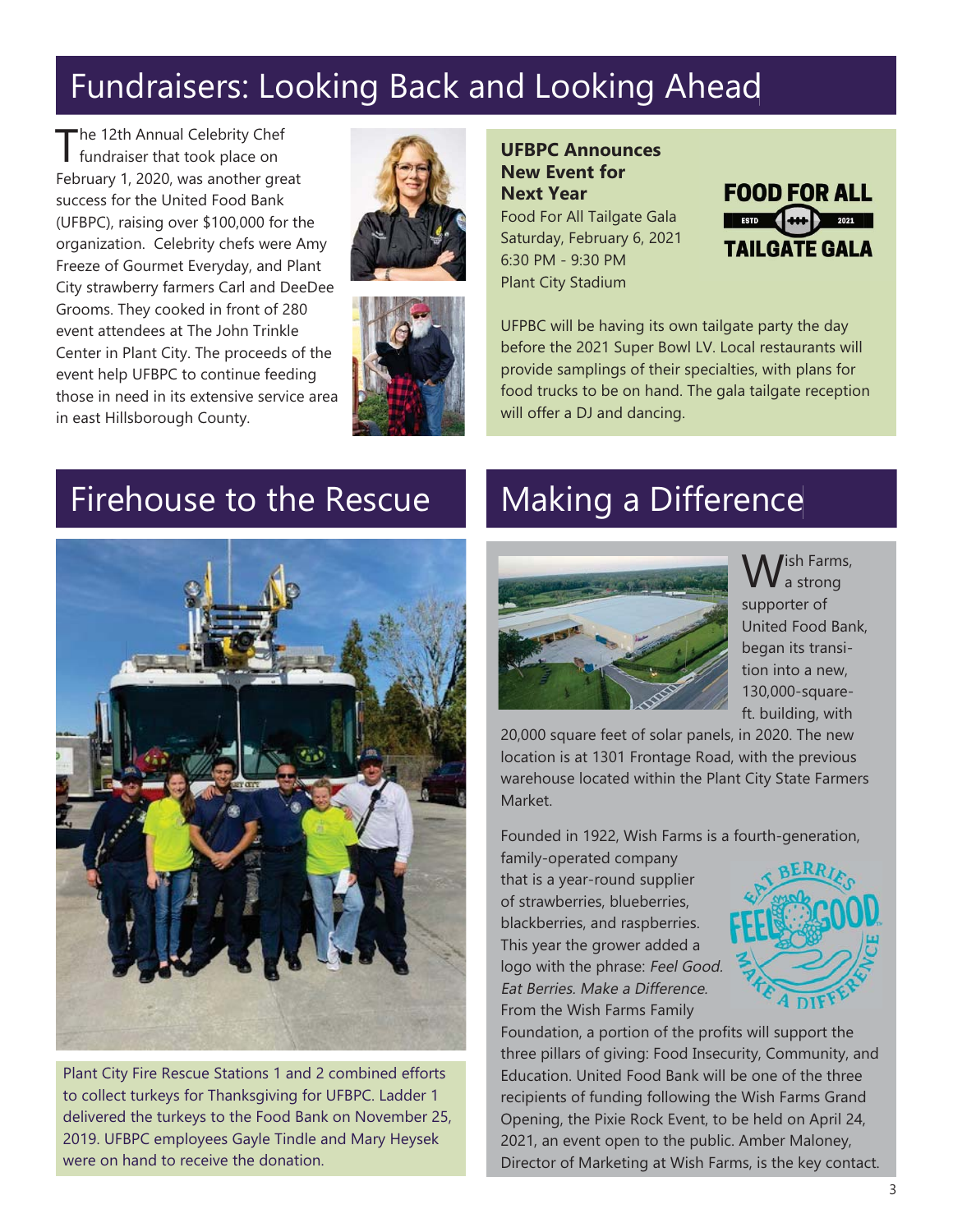# Fundraisers: Looking Back and Looking Ahead

The 12th Annual Celebrity Chef<br>
fundraiser that took place on February 1, 2020, was another great success for the United Food Bank (UFBPC), raising over \$100,000 for the organization. Celebrity chefs were Amy Freeze of Gourmet Everyday, and Plant City strawberry farmers Carl and DeeDee Grooms. They cooked in front of 280 event attendees at The John Trinkle Center in Plant City. The proceeds of the event help UFBPC to continue feeding those in need in its extensive service area in east Hillsborough County.





**UFBPC Announces New Event for Next Year** Food For All Tailgate Gala Saturday, February 6, 2021 6:30 PM - 9:30 PM Plant City Stadium



UFPBC will be having its own tailgate party the day before the 2021 Super Bowl LV. Local restaurants will provide samplings of their specialties, with plans for food trucks to be on hand. The gala tailgate reception will offer a DJ and dancing.

### Firehouse to the Rescue



Plant City Fire Rescue Stations 1 and 2 combined efforts to collect turkeys for Thanksgiving for UFBPC. Ladder 1 delivered the turkeys to the Food Bank on November 25, 2019. UFBPC employees Gayle Tindle and Mary Heysek were on hand to receive the donation.

# Making a Difference



W<sup>ish Farms,</sup> supporter of United Food Bank, began its transition into a new, 130,000-squareft. building, with

20,000 square feet of solar panels, in 2020. The new location is at 1301 Frontage Road, with the previous warehouse located within the Plant City State Farmers Market.

Founded in 1922, Wish Farms is a fourth-generation,

family-operated company that is a year-round supplier of strawberries, blueberries, blackberries, and raspberries. This year the grower added a logo with the phrase: Feel Good. Eat Berries. Make a Difference. From the Wish Farms Family



Foundation, a portion of the profits will support the three pillars of giving: Food Insecurity, Community, and Education. United Food Bank will be one of the three recipients of funding following the Wish Farms Grand Opening, the Pixie Rock Event, to be held on April 24, 2021, an event open to the public. Amber Maloney, Director of Marketing at Wish Farms, is the key contact.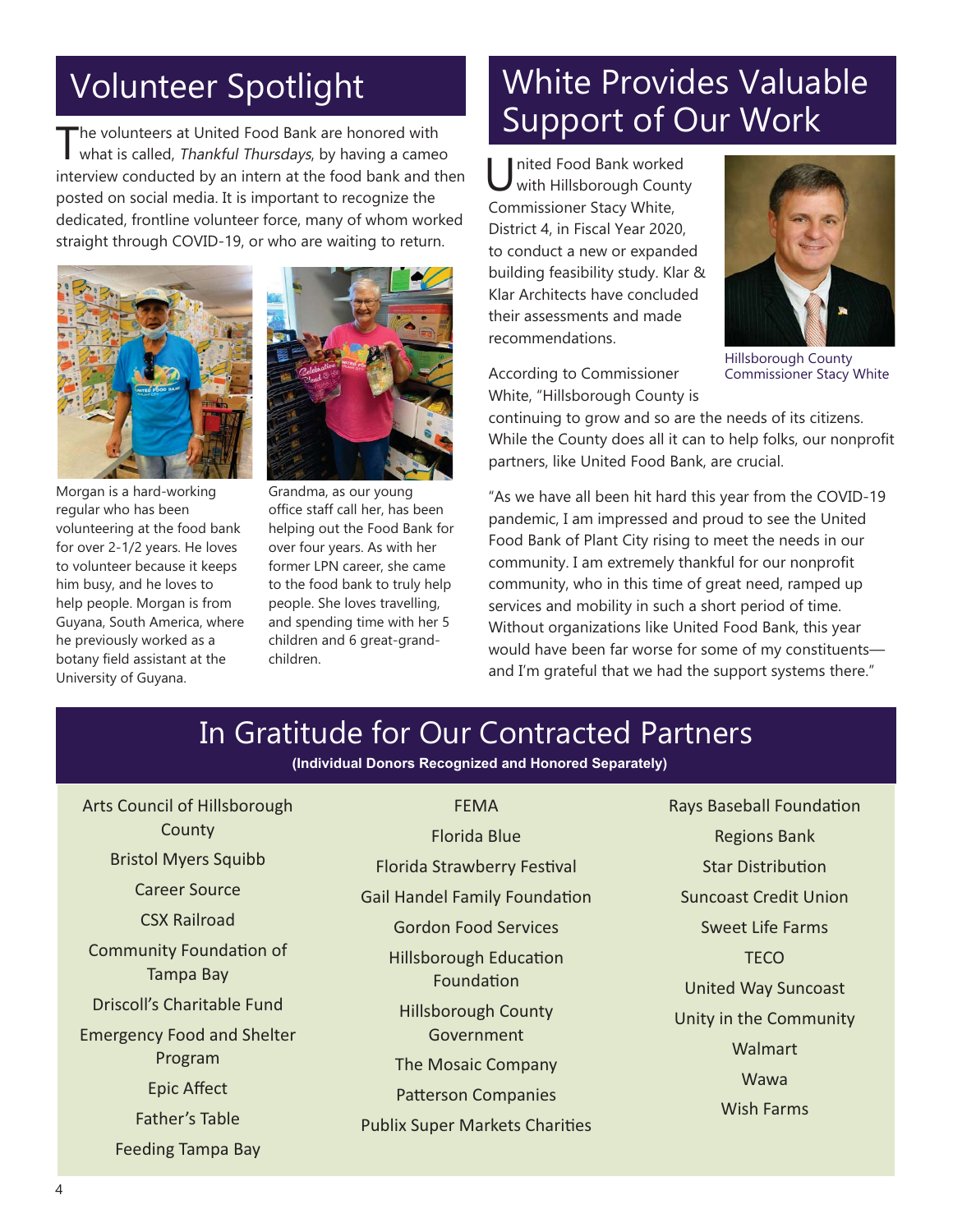The volunteers at United Food Bank are honored with<br>what is called, Thankful Thursdays, by having a cameo interview conducted by an intern at the food bank and then posted on social media. It is important to recognize the dedicated, frontline volunteer force, many of whom worked straight through COVID-19, or who are waiting to return.







Grandma, as our young office staff call her, has been helping out the Food Bank for over four years. As with her former LPN career, she came to the food bank to truly help people. She loves travelling, and spending time with her 5 children and 6 great-grandchildren.

# Volunteer Spotlight Volunteer Spotlight White Provides Valuable Support of Our Work

United Food Bank worked<br>
with Hillsborough County Commissioner Stacy White, District 4, in Fiscal Year 2020, to conduct a new or expanded building feasibility study. Klar & Klar Architects have concluded their assessments and made recommendations.



Hillsborough County Commissioner Stacy White

According to Commissioner White, "Hillsborough County is

continuing to grow and so are the needs of its citizens. While the County does all it can to help folks, our nonprofit partners, like United Food Bank, are crucial.

"As we have all been hit hard this year from the COVID-19 pandemic, I am impressed and proud to see the United Food Bank of Plant City rising to meet the needs in our community. I am extremely thankful for our nonprofit community, who in this time of great need, ramped up services and mobility in such a short period of time. Without organizations like United Food Bank, this year would have been far worse for some of my constituents and I'm grateful that we had the support systems there."

### In Gratitude for Our Contracted Partners

**(Individual Donors Recognized and Honored Separately)**

FEMA

Arts Council of Hillsborough County Bristol Myers Squibb Career Source

CSX Railroad

Community Foundation of Tampa Bay

Driscoll's Charitable Fund

Emergency Food and Shelter Program **Epic Affect** Father's Table

Feeding Tampa Bay

Florida Blue **Florida Strawberry Festival Gail Handel Family Foundation Gordon Food Services Hillsborough Education** Foundation Hillsborough County Government The Mosaic Company Patterson Companies **Publix Super Markets Charities**  Rays Baseball Foundation Regions Bank **Star Distribution** Suncoast Credit Union Sweet Life Farms **TECO** United Way Suncoast Unity in the Community **Walmart** Wawa Wish Farms